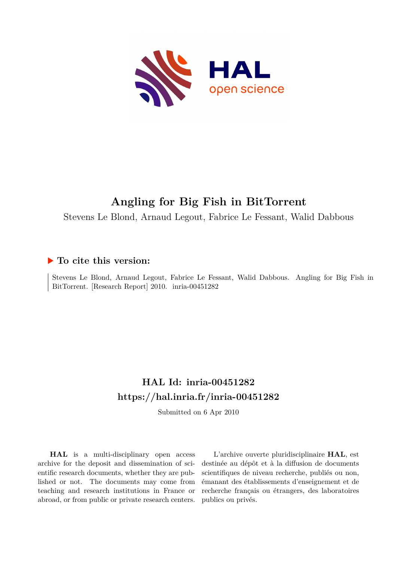

# **Angling for Big Fish in BitTorrent**

Stevens Le Blond, Arnaud Legout, Fabrice Le Fessant, Walid Dabbous

## **To cite this version:**

Stevens Le Blond, Arnaud Legout, Fabrice Le Fessant, Walid Dabbous. Angling for Big Fish in BitTorrent. [Research Report] 2010. inria-00451282

## **HAL Id: inria-00451282 <https://hal.inria.fr/inria-00451282>**

Submitted on 6 Apr 2010

**HAL** is a multi-disciplinary open access archive for the deposit and dissemination of scientific research documents, whether they are published or not. The documents may come from teaching and research institutions in France or abroad, or from public or private research centers.

L'archive ouverte pluridisciplinaire **HAL**, est destinée au dépôt et à la diffusion de documents scientifiques de niveau recherche, publiés ou non, émanant des établissements d'enseignement et de recherche français ou étrangers, des laboratoires publics ou privés.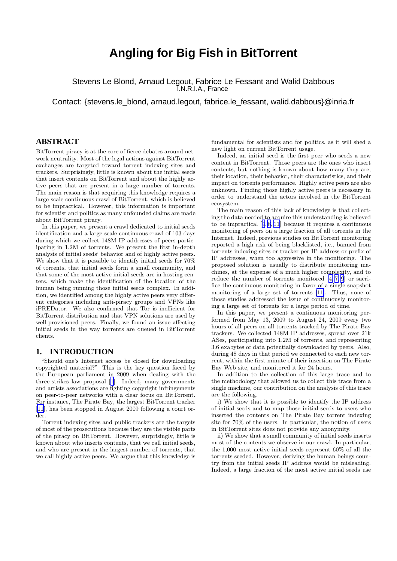## **Angling for Big Fish in BitTorrent**

Stevens Le Blond, Arnaud Legout, Fabrice Le Fessant and Walid Dabbous I.N.R.I.A., France

Contact: {stevens.le\_blond, arnaud.legout, fabrice.le\_fessant, walid.dabbous}@inria.fr

### **ABSTRACT**

BitTorrent piracy is at the core of fierce debates around network neutrality. Most of the legal actions against BitTorrent exchanges are targeted toward torrent indexing sites and trackers. Surprisingly, little is known about the initial seeds that insert contents on BitTorrent and about the highly active peers that are present in a large number of torrents. The main reason is that acquiring this knowledge requires a large-scale continuous crawl of BitTorrent, which is believed to be impractical. However, this information is important for scientist and politics as many unfounded claims are made about BitTorrent piracy.

In this paper, we present a crawl dedicated to initial seeds identification and a large-scale continuous crawl of 103 days during which we collect 148M IP addresses of peers participating in 1.2M of torrents. We present the first in-depth analysis of initial seeds' behavior and of highly active peers. We show that it is possible to identify initial seeds for 70% of torrents, that initial seeds form a small community, and that some of the most active initial seeds are in hosting centers, which make the identification of the location of the human being running those initial seeds complex. In addition, we identified among the highly active peers very different categories including anti-piracy groups and VPNs like iPREDator. We also confirmed that Tor is inefficient for BitTorrent distribution and that VPN solutions are used by well-provisioned peers. Finally, we found an issue affecting initial seeds in the way torrents are queued in BitTorrent clients.

#### **1. INTRODUCTION**

"Should one's Internet access be closed for downloading copyrighted material?" This is the key question faced by the European parliament in 2009 when dealing with the three-strikes law proposal[[1](#page-12-0)]. Indeed, many governments and artists associations are fighting copyright infringements on peer-to-peer networks with a clear focus on BitTorrent. For instance, The Pirate Bay, the largest BitTorrent tracker [\[11](#page-12-0)], has been stopped in August 2009 following a court order.

Torrent indexing sites and public trackers are the targets of most of the prosecutions because they are the visible parts of the piracy on BitTorrent. However, surprisingly, little is known about who inserts contents, that we call initial seeds, and who are present in the largest number of torrents, that we call highly active peers. We argue that this knowledge is fundamental for scientists and for politics, as it will shed a new light on current BitTorrent usage.

Indeed, an initial seed is the first peer who seeds a new content in BitTorrent. Those peers are the ones who insert contents, but nothing is known about how many they are, their location, their behavior, their characteristics, and their impact on torrents performance. Highly active peers are also unknown. Finding those highly active peers is necessary in order to understand the actors involved in the BitTorrent ecosystem.

The main reason of this lack of knowledge is that collecting the data needed to acquire this understanding is believed to be impractical[[4](#page-12-0), [8, 11](#page-12-0)] because it requires a continuous monitoring of peers on a large fraction of all torrents in the Internet. Indeed, previous studies on BitTorrent monitoring reported a high risk of being blacklisted, i.e., banned from torrents indexing sites or tracker per IP address or prefix of IP addresses, when too aggressive in the monitoring. The proposed solution is usually to distribute monitoring machines, at the expense of a much higher complexity, and to reduce the number of torrents monitored[[4, 7, 9](#page-12-0)] or sacrifice the continuous monitoring in favor of a single snapshot monitoring of a large set of torrents [\[11\]](#page-12-0). Thus, none of those studies addressed the issue of continuously monitoring a large set of torrents for a large period of time.

In this paper, we present a continuous monitoring performed from May 13, 2009 to August 24, 2009 every two hours of all peers on all torrents tracked by The Pirate Bay trackers. We collected 148M IP addresses, spread over 21k ASes, participating into 1.2M of torrents, and representing 3.6 exabytes of data potentially downloaded by peers. Also, during 48 days in that period we connected to each new torrent, within the first minute of their insertion on The Pirate Bay Web site, and monitored it for 24 hours.

In addition to the collection of this large trace and to the methodology that allowed us to collect this trace from a single machine, our contribution on the analysis of this trace are the following.

i) We show that it is possible to identify the IP address of initial seeds and to map those initial seeds to users who inserted the contents on The Pirate Bay torrent indexing site for 70% of the users. In particular, the notion of users in BitTorrent sites does not provide any anonymity.

ii) We show that a small community of initial seeds inserts most of the contents we observe in our crawl. In particular, the 1,000 most active initial seeds represent 60% of all the torrents seeded. However, deriving the human beings country from the initial seeds IP address would be misleading. Indeed, a large fraction of the most active initial seeds use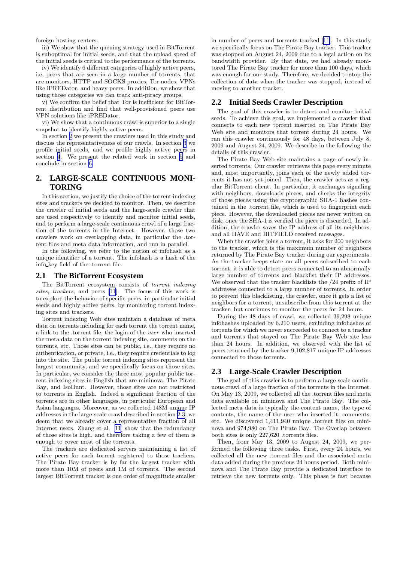<span id="page-2-0"></span>foreign hosting centers.

iii) We show that the queuing strategy used in BitTorrent is suboptimal for initial seeds, and that the upload speed of the initial seeds is critical to the performance of the torrents.

iv) We identify 6 different categories of highly active peers, i.e, peers that are seen in a large number of torrents, that are monitors, HTTP and SOCKS proxies, Tor nodes, VPNs like iPREDator, and heavy peers. In addition, we show that using those categories we can track anti-piracy groups.

v) We confirm the belief that Tor is inefficient for BitTorrent distribution and find that well-provisioned peers use VPN solutions like iPREDator.

vi) We show that a continuous crawl is superior to a single snapshot to identify highly active peers.

In section 2 we present the crawlers used in this study and discuss the representativeness of our crawls. In section [3](#page-3-0) we profile initial seeds, and we profile highly active peers in section [4](#page-10-0). We present the related work in section [5](#page-12-0) and conclude in section [6.](#page-12-0)

### **2. LARGE-SCALE CONTINUOUS MONI-TORING**

In this section, we justify the choice of the torrent indexing sites and trackers we decided to monitor. Then, we describe the crawler of initial seeds and the large-scale crawler that are used respectively to identify and monitor initial seeds, and to perform a large-scale continuous crawl of a large fraction of the torrents in the Internet. However, those two crawlers work on overlapping data, in particular the .torrent files and meta data information, and run in parallel.

In the following, we refer to the notion of infohash as a unique identifier of a torrent. The infohash is a hash of the info key field of the .torrent file.

#### **2.1 The BitTorrent Ecosystem**

The BitTorrent ecosystem consists of torrent indexing sites, trackers, and peers [\[11](#page-12-0)]. The focus of this work is to explore the behavior of specific peers, in particular initial seeds and highly active peers, by monitoring torrent indexing sites and trackers.

Torrent indexing Web sites maintain a database of meta data on torrents including for each torrent the torrent name, a link to the .torrent file, the login of the user who inserted the meta data on the torrent indexing site, comments on the torrents, etc. Those sites can be public, i.e., they require no authentication, or private, i.e., they require credentials to log into the site. The public torrent indexing sites represent the largest community, and we specifically focus on those sites. In particular, we consider the three most popular public torrent indexing sites in English that are mininova, The Pirate Bay, and IsoHunt. However, those sites are not restricted to torrents in English. Indeed a significant fraction of the torrents are in other languages, in particular European and Asian languages. Moreover, as we collected 148M unique IP addresses in the large-scale crawl described in section 2.3, we deem that we already cover a representative fraction of all Internet users. Zhang et al. [\[11](#page-12-0)] show that the redundancy of those sites is high, and therefore taking a few of them is enough to cover most of the torrents.

The trackers are dedicated servers maintaining a list of active peers for each torrent registered to those trackers. The Pirate Bay tracker is by far the largest tracker with more than 10M of peers and 1M of torrents. The second largest BitTorrent tracker is one order of magnitude smaller

in number of peers and torrents tracked[[11\]](#page-12-0). In this study we specifically focus on The Pirate Bay tracker. This tracker was stopped on August 24, 2009 due to a legal action on its bandwidth provider. By that date, we had already monitored The Pirate Bay tracker for more than 100 days, which was enough for our study. Therefore, we decided to stop the collection of data when the tracker was stopped, instead of moving to another tracker.

#### **2.2 Initial Seeds Crawler Description**

The goal of this crawler is to detect and monitor initial seeds. To achieve this goal, we implemented a crawler that connects to each new torrent inserted on The Pirate Bay Web site and monitors that torrent during 24 hours. We ran this crawler continuously for 48 days, between July 8, 2009 and August 24, 2009. We describe in the following the details of this crawler.

The Pirate Bay Web site maintains a page of newly inserted torrents. Our crawler retrieves this page every minute and, most importantly, joins each of the newly added torrents it has not yet joined. Then, the crawler acts as a regular BitTorrent client. In particular, it exchanges signaling with neighbors, downloads pieces, and checks the integrity of those pieces using the cryptographic SHA-1 hashes contained in the .torrent file, which is used to fingerprint each piece. However, the downloaded pieces are never written on disk; once the SHA-1 is verified the piece is discarded. In addition, the crawler saves the IP address of all its neighbors, and all HAVE and BITFIELD received messages.

When the crawler joins a torrent, it asks for 200 neighbors to the tracker, which is the maximum number of neighbors returned by The Pirate Bay tracker during our experiments. As the tracker keeps state on all peers subscribed to each torrent, it is able to detect peers connected to an abnormally large number of torrents and blacklist their IP addresses. We observed that the tracker blacklists the /24 prefix of IP addresses connected to a large number of torrents. In order to prevent this blacklisting, the crawler, once it gets a list of neighbors for a torrent, unsubscribe from this torrent at the tracker, but continues to monitor the peers for 24 hours.

During the 48 days of crawl, we collected 39,298 unique infohashes uploaded by 6,210 users, excluding infohashes of torrents for which we never succeeded to connect to a tracker and torrents that stayed on The Pirate Bay Web site less than 24 hours. In addition, we observed with the list of peers returned by the tracker 9,102,817 unique IP addresses connected to those torrents.

#### **2.3 Large-Scale Crawler Description**

The goal of this crawler is to perform a large-scale continuous crawl of a large fraction of the torrents in the Internet. On May 13, 2009, we collected all the .torrent files and meta data available on mininova and The Pirate Bay. The collected meta data is typically the content name, the type of contents, the name of the user who inserted it, comments, etc. We discovered 1,411,940 unique .torrent files on mininova and 974,980 on The Pirate Bay. The Overlap between both sites is only 227,620 .torrents files.

Then, from May 13, 2009 to August 24, 2009, we performed the following three tasks. First, every 24 hours, we collected all the new .torrent files and the associated meta data added during the previous 24 hours period. Both mininova and The Pirate Bay provide a dedicated interface to retrieve the new torrents only. This phase is fast because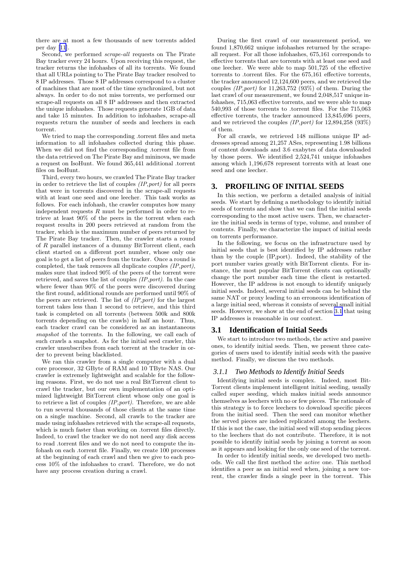<span id="page-3-0"></span>there are at most a few thousands of new torrents added per day[[11](#page-12-0)].

Second, we performed scrape-all requests on The Pirate Bay tracker every 24 hours. Upon receiving this request, the tracker returns the infohashes of all its torrents. We found that all URLs pointing to The Pirate Bay tracker resolved to 8 IP addresses. Those 8 IP addresses correspond to a cluster of machines that are most of the time synchronized, but not always. In order to do not miss torrents, we performed our scrape-all requests on all 8 IP addresses and then extracted the unique infohashes. Those requests generate 1GB of data and take 15 minutes. In addition to infohashes, scrape-all requests return the number of seeds and leechers in each torrent.

We tried to map the corresponding .torrent files and meta information to all infohashes collected during this phase. When we did not find the corresponding .torrent file from the data retrieved on The Pirate Bay and mininova, we made a request on IsoHunt. We found 365,441 additional .torrent files on IsoHunt.

Third, every two hours, we crawled The Pirate Bay tracker in order to retrieve the list of couples (IP,port) for all peers that were in torrents discovered in the scrape-all requests with at least one seed and one leecher. This task works as follows. For each infohash, the crawler computes how many independent requests  $R$  must be performed in order to retrieve at least 90% of the peers in the torrent when each request results in 200 peers retrieved at random from the tracker, which is the maximum number of peers returned by The Pirate Bay tracker. Then, the crawler starts a round of R parallel instances of a dummy BitTorrent client, each client started on a different port number, whose only one goal is to get a list of peers from the tracker. Once a round is completed, the task removes all duplicate couples  $(IP, port)$ , makes sure that indeed 90% of the peers of the torrent were retrieved, and saves the list of couples (IP,port). In the case where fewer than 90% of the peers were discovered during the first round, additional rounds are performed until 90% of the peers are retrieved. The list of  $(IP, port)$  for the largest torrent takes less than 1 second to retrieve, and this third task is completed on all torrents (between 500k and 800k torrents depending on the crawls) in half an hour. Thus, each tracker crawl can be considered as an instantaneous snapshot of the torrents. In the following, we call each of such crawls a snapshot. As for the initial seed crawler, this crawler unsubscribes from each torrent at the tracker in order to prevent being blacklisted.

We ran this crawler from a single computer with a dual core processor, 32 GByte of RAM and 10 TByte NAS. Our crawler is extremely lightweight and scalable for the following reasons. First, we do not use a real BitTorrent client to crawl the tracker, but our own implementation of an optimized lightweight BitTorrent client whose only one goal is to retrieve a list of couples  $(IP, port)$ . Therefore, we are able to run several thousands of those clients at the same time on a single machine. Second, all crawls to the tracker are made using infohashes retrieved with the scrape-all requests, which is much faster than working on .torrent files directly. Indeed, to crawl the tracker we do not need any disk access to read .torrent files and we do not need to compute the infohash on each .torrent file. Finally, we create 100 processes at the beginning of each crawl and then we give to each process 10% of the infohashes to crawl. Therefore, we do not have any process creation during a crawl.

During the first crawl of our measurement period, we found 1,870,662 unique infohashes returned by the scrapeall request. For all those infohashes, 675,161 corresponds to effective torrents that are torrents with at least one seed and one leecher. We were able to map 501,725 of the effective torrents to .torrent files. For the 675,161 effective torrents, the tracker announced 12,124,600 peers, and we retrieved the couples  $(IP, port)$  for 11,263,752 (93%) of them. During the last crawl of our measurement, we found 2,048,517 unique infohashes, 715,063 effective torrents, and we were able to map 540,993 of those torrents to .torrent files. For the 715,063 effective torrents, the tracker announced 13,845,696 peers, and we retrieved the couples  $(IP, port)$  for  $12,894,258$   $(93\%)$ of them.

For all crawls, we retrieved 148 millions unique IP addresses spread among 21,257 ASes, representing 1.98 billions of content downloads and 3.6 exabytes of data downloaded by those peers. We identified 2,524,741 unique infohashes among which 1,196,678 represent torrents with at least one seed and one leecher.

### **3. PROFILING OF INITIAL SEEDS**

In this section, we perform a detailed analysis of initial seeds. We start by defining a methodology to identify initial seeds of torrents and show that we can find the initial seeds corresponding to the most active users. Then, we characterize the initial seeds in terms of type, volume, and number of contents. Finally, we characterize the impact of initial seeds on torrents performance.

In the following, we focus on the infrastructure used by initial seeds that is best identified by IP addresses rather than by the couple (IP,port). Indeed, the stability of the port number varies greatly with BitTorrent clients. For instance, the most popular BitTorrent clients can optionally change the port number each time the client is restarted. However, the IP address is not enough to identify uniquely initial seeds. Indeed, several initial seeds can be behind the same NAT or proxy leading to an erroneous identification of a large initial seed, whereas it consists of several small initial seeds. However, we show at the end of section 3.1 that using IP addresses is reasonable in our context.

#### **3.1 Identification of Initial Seeds**

We start to introduce two methods, the active and passive ones, to identify initial seeds. Then, we present three categories of users used to identify initial seeds with the passive method. Finally, we discuss the two methods.

#### *3.1.1 Two Methods to Identify Initial Seeds*

Identifying initial seeds is complex. Indeed, most Bit-Torrent clients implement intelligent initial seeding, usually called super seeding, which makes initial seeds announce themselves as leechers with no or few pieces. The rationale of this strategy is to force leechers to download specific pieces from the initial seed. Then the seed can monitor whether the served pieces are indeed replicated among the leechers. If this is not the case, the initial seed will stop sending pieces to the leechers that do not contribute. Therefore, it is not possible to identify initial seeds by joining a torrent as soon as it appears and looking for the only one seed of the torrent.

In order to identify initial seeds, we developed two methods. We call the first method the active one. This method identifies a peer as an initial seed when, joining a new torrent, the crawler finds a single peer in the torrent. This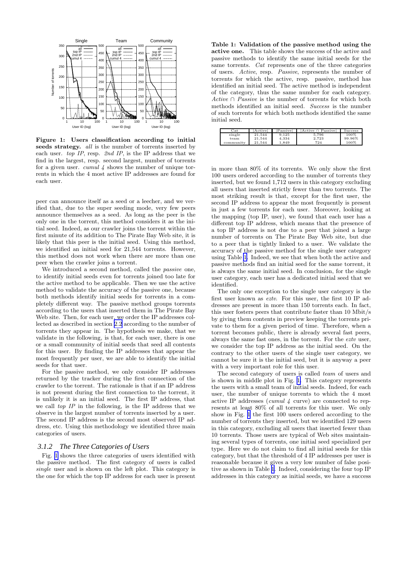<span id="page-4-0"></span>

Figure 1: Users classification according to initial seeds strategy. *all* is the number of torrents inserted by each user. top IP, resp. 2nd IP, is the IP address that we find in the largest, resp. second largest, number of torrents for a given user. *cumul 4* shows the number of unique torrents in which the 4 most active IP addresses are found for each user.

peer can announce itself as a seed or a leecher, and we verified that, due to the super seeding mode, very few peers announce themselves as a seed. As long as the peer is the only one in the torrent, this method considers it as the initial seed. Indeed, as our crawler joins the torrent within the first minute of its addition to The Pirate Bay Web site, it is likely that this peer is the initial seed. Using this method, we identified an initial seed for 21,544 torrents. However, this method does not work when there are more than one peer when the crawler joins a torrent.

We introduced a second method, called the *passive* one, to identify initial seeds even for torrents joined too late for the active method to be applicable. Then we use the active method to validate the accuracy of the passive one, because both methods identify initial seeds for torrents in a completely different way. The passive method groups torrents according to the users that inserted them in The Pirate Bay Web site. Then, for each user, we order the IP addresses collected as described in section [2.2](#page-2-0) according to the number of torrents they appear in. The hypothesis we make, that we validate in the following, is that, for each user, there is one or a small community of initial seeds that seed all contents for this user. By finding the IP addresses that appear the most frequently per user, we are able to identify the initial seeds for that user.

For the passive method, we only consider IP addresses returned by the tracker during the first connection of the crawler to the torrent. The rationale is that if an IP address is not present during the first connection to the torrent, it is unlikely it is an initial seed. The first IP address, that we call top IP in the following, is the IP address that we observe in the largest number of torrents inserted by a user. The second IP address is the second most observed IP address, etc. Using this methodology we identified three main categories of users.

#### *3.1.2 The Three Categories of Users*

Fig. 1 shows the three categories of users identified with the passive method. The first category of users is called single user and is shown on the left plot. This category is the one for which the top IP address for each user is present

Table 1: Validation of the passive method using the active one. This table shows the success of the active and passive methods to identify the same initial seeds for the same torrents. Cat represents one of the three categories of users. Active, resp. Passive, represents the number of torrents for which the active, resp. passive, method has identified an initial seed. The active method is independent of the category, thus the same number for each category. Active  $\cap$  Passive is the number of torrents for which both methods identified an initial seed. Success is the number of such torrents for which both methods identified the same initial seed.

| $_{\rm Cat}$ | Activel | Passivel | Active ∩ Passivel | Success |
|--------------|---------|----------|-------------------|---------|
| single       | 21.544  | 9.125    | 5.796             | 100%    |
| team         | 21.544  | 4.334    | 2.723             | 99.96%  |
| community    | 21.544  | 1.849    | 724               | 100%    |

in more than 80% of its torrents. We only show the first 100 users ordered according to the number of torrents they inserted, but we found 1,712 users in this category excluding all users that inserted strictly fewer than two torrents. The most striking result is that, except for the first user, the second IP address to appear the most frequently is present in just a few torrents for each user. Moreover, looking at the mapping (top IP, user), we found that each user has a different top IP address, which means that the presence of a top IP address is not due to a peer that joined a large number of torrents on The Pirate Bay Web site, but due to a peer that is tightly linked to a user. We validate the accuracy of the passive method for the single user category using Table 1. Indeed, we see that when both the active and passive methods find an initial seed for the same torrent, it is always the same initial seed. In conclusion, for the single user category, each user has a dedicated initial seed that we identified.

The only one exception to the single user category is the first user known as eztv. For this user, the first 10 IP addresses are present in more than 150 torrents each. In fact, this user fosters peers that contribute faster than 10 Mbit/s by giving them contents in preview keeping the torrents private to them for a given period of time. Therefore, when a torrent becomes public, there is already several fast peers, always the same fast ones, in the torrent. For the eztv user, we consider the top IP address as the initial seed. On the contrary to the other users of the single user category, we cannot be sure it is the initial seed, but it is anyway a peer with a very important role for this user.

The second category of users is called team of users and is shown in middle plot in Fig. 1. This category represents the users with a small team of initial seeds. Indeed, for each user, the number of unique torrents to which the 4 most active IP addresses ( $cumul$  4 curve) are connected to represents at least 80% of all torrents for this user. We only show in Fig. 1 the first 100 users ordered according to the number of torrents they inserted, but we identified 129 users in this category, excluding all users that inserted fewer than 10 torrents. Those users are typical of Web sites maintaining several types of torrents, one initial seed specialized per type. Here we do not claim to find all initial seeds for this category, but that the threshold of 4 IP addresses per user is reasonable because it gives a very low number of false positive as shown in Table 1. Indeed, considering the four top IP addresses in this category as initial seeds, we have a success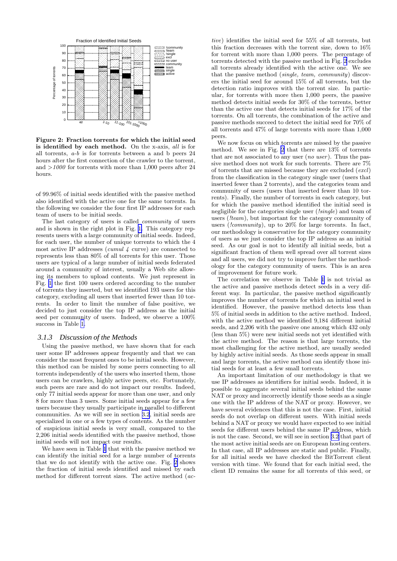

Figure 2: Fraction torrents for which the initial seed is identified by each method. On the x-axis, all is for all torrents, a-b is for torrents between a and b peers 24 hours after the first connection of the crawler to the torrent, and  $>1000$  for torrents with more than 1,000 peers after 24 hours.

of 99.96% of initial seeds identified with the passive method also identified with the active one for the same torrents. In the following we consider the four first IP addresses for each team of users to be initial seeds.

The last category of users is called community of users and is shown in the right plot in Fig. [1.](#page-4-0) This category represents users with a large community of initial seeds. Indeed, for each user, the number of unique torrents to which the 4 most active IP addresses (cumul  $\lambda$  curve) are connected to represents less than 80% of all torrents for this user. Those users are typical of a large number of initial seeds federated around a community of interest, usually a Web site allowing its members to upload contents. We just represent in Fig. [1](#page-4-0) the first 100 users ordered according to the number of torrents they inserted, but we identified 193 users for this category, excluding all users that inserted fewer than 10 torrents. In order to limit the number of false positive, we decided to just consider the top IP address as the initial seed per community of users. Indeed, we observe a 100% success in Table [1.](#page-4-0)

#### *3.1.3 Discussion of the Methods*

Using the passive method, we have shown that for each user some IP addresses appear frequently and that we can consider the most frequent ones to be initial seeds. However, this method can be misled by some peers connecting to all torrents independently of the users who inserted them, those users can be crawlers, highly active peers, etc. Fortunately, such peers are rare and do not impact our results. Indeed, only 77 initial seeds appear for more than one user, and only 8 for more than 3 users. Some initial seeds appear for a few users because they usually participate in parallel to different communities. As we will see in section [3.2](#page-6-0), initial seeds are specialized in one or a few types of contents. As the number of suspicious initial seeds is very small, compared to the 2,206 initial seeds identified with the passive method, those initial seeds will not impact our results.

We have seen in Table [1](#page-4-0) that with the passive method we can identify the initial seed for a large number of torrents that we do not identify with the active one. Fig. 2 shows the fraction of initial seeds identified and missed by each method for different torrent sizes. The active method (ac-

tive) identifies the initial seed for 55% of all torrents, but this fraction decreases with the torrent size, down to 16% for torrent with more than 1,000 peers. The percentage of torrents detected with the passive method in Fig. 2 excludes all torrents already identified with the active one. We see that the passive method (single, team, community) discovers the initial seed for around 15% of all torrents, but the detection ratio improves with the torrent size. In particular, for torrents with more then 1,000 peers, the passive method detects initial seeds for 30% of the torrents, better than the active one that detects initial seeds for 17% of the torrents. On all torrents, the combination of the active and passive methods succeed to detect the initial seed for 70% of all torrents and 47% of large torrents with more than 1,000 peers.

We now focus on which torrents are missed by the passive method. We see in Fig. 2 that there are 13% of torrents that are not associated to any user  $(no\ user)$ . Thus the passive method does not work for such torrents. There are 7% of torrents that are missed because they are excluded (excl) from the classification in the category single user (users that inserted fewer than 2 torrents), and the categories team and community of users (users that inserted fewer than 10 torrents). Finally, the number of torrents in each category, but for which the passive method identified the initial seed is negligible for the categories single user (*!single*) and team of users (*!team*), but important for the category community of users *(!community)*, up to 20% for large torrents. In fact, our methodology is conservative for the category community of users as we just consider the top IP address as an initial seed. As our goal is not to identify all initial seeds, but a significant fraction of them well spread over all torrent sizes and all users, we did not try to improve further the methodology for the category community of users. This is an area of improvement for future work.

The correlation we observe in Table [1](#page-4-0) is not trivial as the active and passive methods detect seeds in a very different way. In particular, the passive method significantly improves the number of torrents for which an initial seed is identified. However, the passive method detects less than 5% of initial seeds in addition to the active method. Indeed, with the active method we identified 9,184 different initial seeds, and 2,206 with the passive one among which 432 only (less than 5%) were new initial seeds not yet identified with the active method. The reason is that large torrents, the most challenging for the active method, are usually seeded by highly active initial seeds. As those seeds appear in small and large torrents, the active method can identify those initial seeds for at least a few small torrents.

An important limitation of our methodology is that we use IP addresses as identifiers for initial seeds. Indeed, it is possible to aggregate several initial seeds behind the same NAT or proxy and incorrectly identify those seeds as a single one with the IP address of the NAT or proxy. However, we have several evidences that this is not the case. First, initial seeds do not overlap on different users. With initial seeds behind a NAT or proxy we would have expected to see initial seeds for different users behind the same IP address, which is not the case. Second, we will see in section [3.2](#page-6-0) that part of the most active initial seeds are on European hosting centers. In that case, all IP addresses are static and public. Finally, for all initial seeds we have checked the BitTorrent client version with time. We found that for each initial seed, the client ID remains the same for all torrents of this seed, or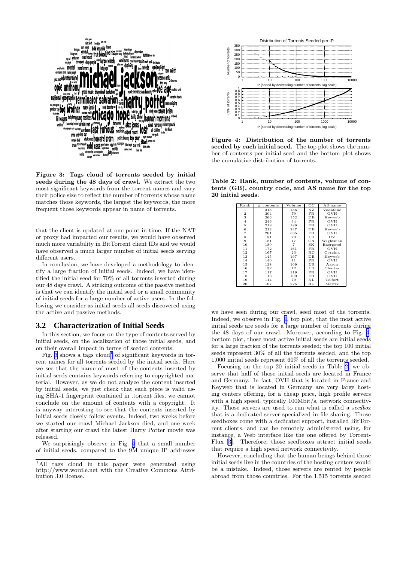<span id="page-6-0"></span>

Figure 3: Tags cloud of torrents seeded by initial seeds during the 48 days of crawl. We extract the two most significant keywords from the torrent names and vary their police size to reflect the number of torrents whose name matches those keywords, the largest the keywords, the more frequent those keywords appear in name of torrents.

that the client is updated at one point in time. If the NAT or proxy had impacted our results, we would have observed much more variability in BitTorrent client IDs and we would have observed a much larger number of initial seeds serving different users.

In conclusion, we have developed a methodology to identify a large fraction of initial seeds. Indeed, we have identified the initial seed for 70% of all torrents inserted during our 48 days crawl. A striking outcome of the passive method is that we can identify the initial seed or a small community of initial seeds for a large number of active users. In the following we consider as initial seeds all seeds discovered using the active and passive methods.

#### **3.2 Characterization of Initial Seeds**

In this section, we focus on the type of contents served by initial seeds, on the localization of those initial seeds, and on their overall impact in terms of seeded contents.

Fig. 3 shows a tags  $cloud<sup>1</sup>$  of significant keywords in torrent names for all torrents seeded by the initial seeds. Here we see that the name of most of the contents inserted by initial seeds contains keywords referring to copyrighted material. However, as we do not analyze the content inserted by initial seeds, we just check that each piece is valid using SHA-1 fingerprint contained in .torrent files, we cannot conclude on the amount of contents with a copyright. It is anyway interesting to see that the contents inserted by initial seeds closely follow events. Indeed, two weeks before we started our crawl Michael Jackson died, and one week after starting our crawl the latest Harry Potter movie was released.

We surprisingly observe in Fig. 4 that a small number of initial seeds, compared to the 9M unique IP addresses



Figure 4: Distribution of the number of torrents seeded by each initial seed. The top plot shows the number of contents per initial seed and the bottom plot shows the cumulative distribution of torrents.

Table 2: Rank, number of contents, volume of contents (GB), country code, and AS name for the top 20 initial seeds.

| Rank           | #<br>contents | Volume         | $_{\rm CC}$ | AS name   |
|----------------|---------------|----------------|-------------|-----------|
| 1              | 313           | 136            | NZ          | Vodafone  |
| $\overline{2}$ | 304           | 79             | FR          | OVH       |
| 3              | 266           | 152            | DE          | Keyweb    |
| $\overline{4}$ | 246           | 34             | FR.         | OVH       |
| 5              | 219           | 186            | FR.         | OVH       |
| 6              | 212           | 247            | DE          | Keyweb    |
| $\overline{7}$ | 201           | 535            | FR.         | OVH       |
| 8              | 181           | 73             | US          | HV        |
| 9              | 181           | 17             | CA          | Wightman  |
| 10             | 180           | $\overline{7}$ | SK          | Energotel |
| 11             | 172           | 161            | FR.         | OVH       |
| 12             | 167           | 23             | <b>RU</b>   | Corgina   |
| 13             | 145           | 197            | DE          | Keyweb    |
| 14             | 140           | 11             | FR.         | OVH       |
| 15             | 138           | 109            | US          | Aaron     |
| 16             | 132           | 12             | US          | Charter   |
| 17             | 117           | 119            | FR.         | OVH       |
| 18             | 116           | 109            | FR          | OVH       |
| 19             | 114           | 79             | NL          | Telfort   |
| 20             | 107           | 225            | RU          | Matrix    |

we have seen during our crawl, seed most of the torrents. Indeed, we observe in Fig. 4, top plot, that the most active initial seeds are seeds for a large number of torrents during the 48 days of our crawl. Moreover, according to Fig. 4, bottom plot, those most active initial seeds are initial seeds for a large fraction of the torrents seeded; the top 100 initial seeds represent 30% of all the torrents seeded, and the top 1,000 initial seeds represent 60% of all the torrents seeded.

Focusing on the top 20 initial seeds in Table 2, we observe that half of those initial seeds are located in France and Germany. In fact, OVH that is located in France and Keyweb that is located in Germany are very large hosting centers offering, for a cheap price, high profile servers with a high speed, typically 100Mbit/s, network connectivity. Those servers are used to run what is called a seedbox that is a dedicated server specialized in file sharing. Those seedboxes come with a dedicated support, installed BitTorrent clients, and can be remotely administered using, for instance, a Web interface like the one offered by Torrent-Flux [\[3\]](#page-12-0). Therefore, those seedboxes attract initial seeds that require a high speed network connectivity.

However, concluding that the human beings behind those initial seeds live in the countries of the hosting centers would be a mistake. Indeed, those servers are rented by people abroad from those countries. For the 1,515 torrents seeded

<sup>&</sup>lt;sup>1</sup>All tags cloud in this paper were generated using http://www.wordle.net with the Creative Commons Attribution 3.0 license.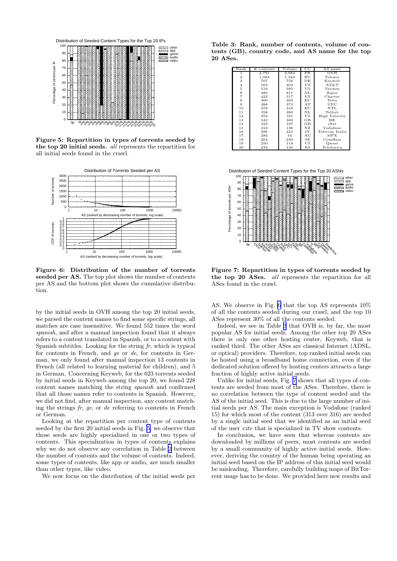

Figure 5: Repartition in types of torrents seeded by the top 20 initial seeds. all represents the repartition for all initial seeds found in the crawl.



Figure 6: Distribution of the number of torrents seeded per AS. The top plot shows the number of contents per AS and the bottom plot shows the cumulative distribution.

by the initial seeds in OVH among the top 20 initial seeds, we parsed the content names to find some specific strings, all matches are case insensitive. We found 552 times the word spanish, and after a manual inspection found that it always refers to a content translated in Spanish, or to a content with Spanish subtitles. Looking for the string  $fr$ , which is typical for contents in French, and ge or de, for contents in German, we only found after manual inspection 13 contents in French (all related to learning material for children), and 5 in German. Concerning Keyweb, for the 623 torrents seeded by initial seeds in Keyweb among the top 20, we found 228 content names matching the string spanish and confirmed that all those names refer to contents in Spanish. However, we did not find, after manual inspection, any content matching the strings  $fr$ ,  $ge$ , or  $de$  referring to contents in French or German.

Looking at the repartition per content type of contents seeded by the first 20 initial seeds in Fig. 5, we observe that those seeds are highly specialized in one or two types of contents. This specialization in types of contents explains why we do not observe any correlation in Table [2](#page-6-0) between the number of contents and the volume of contents. Indeed, some types of contents, like app or audio, are much smaller than other types, like video.

We now focus on the distribution of the initial seeds per

Table 3: Rank, number of contents, volume of contents (GB), country code, and AS name for the top 20 ASes.

| Rank           | contents<br># | Volume | $_{\rm CC}$ | AS name        |
|----------------|---------------|--------|-------------|----------------|
| 1              | 2,791         | 2,984  | FR.         | OVH            |
| $\overline{2}$ | 1,084         | 1,343  | ΕU          | Telenor        |
| 3              | 707           | 756    | DЕ          | Keyweb         |
| $\overline{4}$ | 503           | 403    | US          | AT&T           |
| 5              | 516           | 385    | US          | Verizon        |
| 6              | 480           | 811    | NL          | Zigoo          |
| 7              | 422           | 317    | US          | Charter        |
| 8              | 400           | 393    | ΕU          | Telia          |
| 9              | 388           | 373    | AT          | UPC            |
| 10             | 359           | 316    | ΕU          | NTL            |
| 11             | 358           | 380    | NL          | Telfort        |
| 12             | 354           | 161    | US          | High Velocity  |
| 13             | 342           | 300    | GB          | <b>BE</b>      |
| 14             | 323           | 197    | GB          | iNet           |
| 15             | 316           | 136    | ΝZ          | Vodafone       |
| 16             | 298           | 221    | <b>TT</b>   | Telecom Italia |
| 17             | 284           | 44     | AU          | MPX            |
| 18             | 264           | 230    | SE          | ComHem         |
| 19             | 250           | 118    | US          | Qwest          |
| 20             | 232           | 130    | ES          | Telefonica     |

Distribution of Seeded Content Types for the Top 20 ASNs



Figure 7: Repartition in types of torrents seeded by the top 20 ASes. all represents the repartition for all ASes found in the crawl.

AS. We observe in Fig. 6 that the top AS represents 10% of all the contents seeded during our crawl, and the top 10 ASes represent 30% of all the contents seeded.

Indeed, we see in Table 3 that OVH is, by far, the most popular AS for initial seeds. Among the other top 20 ASes there is only one other hosting center, Keyweb, that is ranked third. The other ASes are classical Internet (ADSL, or optical) providers. Therefore, top ranked initial seeds can be hosted using a broadband home connection, even if the dedicated solution offered by hosting centers attracts a large fraction of highly active initial seeds.

Unlike for initial seeds, Fig. 7 shows that all types of contents are seeded from most of the ASes. Therefore, there is no correlation between the type of content seeded and the AS of the initial seed. This is due to the large number of initial seeds per AS. The main exception is Vodafone (ranked 15) for which most of the content (313 over 316) are seeded by a single initial seed that we identified as an initial seed of the user eztv that is specialized in TV show contents.

In conclusion, we have seen that whereas contents are downloaded by millions of peers, most contents are seeded by a small community of highly active initial seeds. However, deriving the country of the human being operating an initial seed based on the IP address of this initial seed would be misleading. Therefore, carefully building maps of BitTorrent usage has to be done. We provided here new results and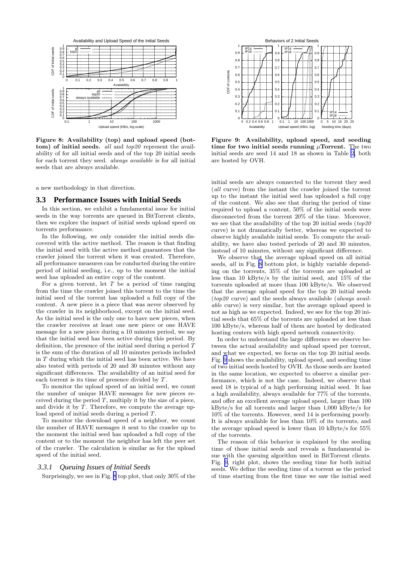<span id="page-8-0"></span>

Figure 8: Availability (top) and upload speed (bottom) of initial seeds. all and top20 represent the availability of for all initial seeds and of the top 20 initial seeds for each torrent they seed. always available is for all initial seeds that are always available.

a new methodology in that direction.

#### **3.3 Performance Issues with Initial Seeds**

In this section, we exhibit a fundamental issue for initial seeds in the way torrents are queued in BitTorrent clients, then we explore the impact of initial seeds upload speed on torrents performance.

In the following, we only consider the initial seeds discovered with the active method. The reason is that finding the initial seed with the active method guarantees that the crawler joined the torrent when it was created. Therefore, all performance measures can be conducted during the entire period of initial seeding, i.e., up to the moment the initial seed has uploaded an entire copy of the content.

For a given torrent, let  $T$  be a period of time ranging from the time the crawler joined this torrent to the time the initial seed of the torrent has uploaded a full copy of the content. A new piece is a piece that was never observed by the crawler in its neighborhood, except on the initial seed. As the initial seed is the only one to have new pieces, when the crawler receives at least one new piece or one HAVE message for a new piece during a 10 minutes period, we say that the initial seed has been active during this period. By definition, the presence of the initial seed during a period  $T$ is the sum of the duration of all 10 minutes periods included in T during which the initial seed has been active. We have also tested with periods of 20 and 30 minutes without any significant differences. The availability of an initial seed for each torrent is its time of presence divided by T.

To monitor the upload speed of an initial seed, we count the number of unique HAVE messages for new pieces received during the period  $T$ , multiply it by the size of a piece, and divide it by  $T$ . Therefore, we compute the average upload speed of initial seeds during a period  $T$ .

To monitor the download speed of a neighbor, we count the number of HAVE messages it sent to the crawler up to the moment the initial seed has uploaded a full copy of the content or to the moment the neighbor has left the peer set of the crawler. The calculation is similar as for the upload speed of the initial seed.

#### *3.3.1 Queuing Issues of Initial Seeds*

Surprisingly, we see in Fig. 8 top plot, that only 30% of the



Figure 9: Availability, upload speed, and seeding time for two initial seeds running  $\mu$ Torrent. The two initial seeds are seed 14 and 18 as shown in Table [2,](#page-6-0) both are hosted by OVH.

initial seeds are always connected to the torrent they seed (all curve) from the instant the crawler joined the torrent up to the instant the initial seed has uploaded a full copy of the content. We also see that during the period of time required to upload a content, 50% of the initial seeds were disconnected from the torrent 20% of the time. Moreover, we see that the availability of the top 20 initial seeds  $(top20)$ curve) is not dramatically better, whereas we expected to observe highly available initial seeds. To compute the availability, we have also tested periods of 20 and 30 minutes, instead of 10 minutes, without any significant difference.

We observe that the average upload speed on all initial seeds, all in Fig. 8 bottom plot, is highly variable depending on the torrents, 35% of the torrents are uploaded at less than 10 kByte/s by the initial seed, and 15% of the torrents uploaded at more than 100 kByte/s. We observed that the average upload speed for the top 20 initial seeds  $(top20$  curve) and the seeds always available (*always avail*able curve) is very similar, but the average upload speed is not as high as we expected. Indeed, we see for the top 20 initial seeds that 65% of the torrents are uploaded at less than 100 kByte/s, whereas half of them are hosted by dedicated hosting centers with high speed network connectivity.

In order to understand the large difference we observe between the actual availability and upload speed per torrent, and what we expected, we focus on the top 20 initial seeds. Fig. 9 shows the availability, upload speed, and seeding time of two initial seeds hosted by OVH. As those seeds are hosted in the same location, we expected to observe a similar performance, which is not the case. Indeed, we observe that seed 18 is typical of a high performing initial seed. It has a high availability, always available for 77% of the torrents, and offer an excellent average upload speed, larger than 100 kByte/s for all torrents and larger than 1,000 kByte/s for 10% of the torrents. However, seed 14 is performing poorly. It is always available for less than 10% of its torrents, and the average upload speed is lower than 10 kByte/s for 55% of the torrents.

The reason of this behavior is explained by the seeding time of those initial seeds and reveals a fundamental issue with the queuing algorithm used in BitTorrent clients. Fig. 9, right plot, shows the seeding time for both initial seeds. We define the seeding time of a torrent as the period of time starting from the first time we saw the initial seed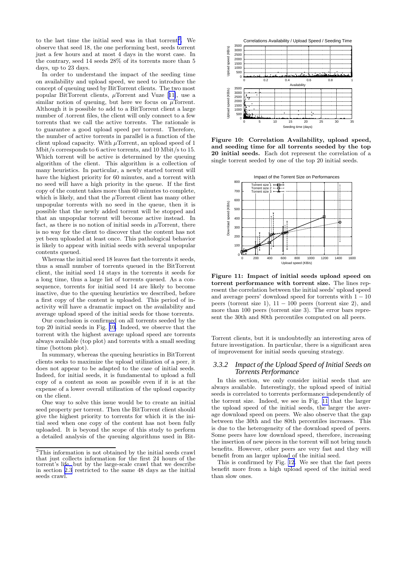to the last time the initial seed was in that torrent<sup>2</sup>. We observe that seed 18, the one performing best, seeds torrent just a few hours and at most 4 days in the worst case. In the contrary, seed 14 seeds 28% of its torrents more than 5 days, up to 23 days.

In order to understand the impact of the seeding time on availability and upload speed, we need to introduce the concept of queuing used by BitTorrent clients. The two most popularBitTorrent clients,  $\mu$ Torrent and Vuze [[11\]](#page-12-0), use a similar notion of queuing, but here we focus on  $\mu$ Torrent. Although it is possible to add to a BitTorrent client a large number of .torrent files, the client will only connect to a few torrents that we call the active torrents. The rationale is to guarantee a good upload speed per torrent. Therefore, the number of active torrents in parallel is a function of the client upload capacity. With  $\mu$ Torrent, an upload speed of 1 Mbit/s corresponds to 6 active torrents, and 10 Mbit/s to 15. Which torrent will be active is determined by the queuing algorithm of the client. This algorithm is a collection of many heuristics. In particular, a newly started torrent will have the highest priority for 60 minutes, and a torrent with no seed will have a high priority in the queue. If the first copy of the content takes more than 60 minutes to complete, which is likely, and that the  $\mu$ Torrent client has many other unpopular torrents with no seed in the queue, then it is possible that the newly added torrent will be stopped and that an unpopular torrent will become active instead. In fact, as there is no notion of initial seeds in  $\mu$ Torrent, there is no way for the client to discover that the content has not yet been uploaded at least once. This pathological behavior is likely to appear with initial seeds with several unpopular contents queued.

Whereas the initial seed 18 leaves fast the torrents it seeds, thus a small number of torrents queued in the BitTorrent client, the initial seed 14 stays in the torrents it seeds for a long time, thus a large list of torrents queued. As a consequence, torrents for initial seed 14 are likely to become inactive, due to the queuing heuristics we described, before a first copy of the content is uploaded. This period of inactivity will have a dramatic impact on the availability and average upload speed of the initial seeds for those torrents.

Our conclusion is confirmed on all torrents seeded by the top 20 initial seeds in Fig. 10. Indeed, we observe that the torrent with the highest average upload speed are torrents always available (top plot) and torrents with a small seeding time (bottom plot).

In summary, whereas the queuing heuristics in BitTorrent clients seeks to maximize the upload utilization of a peer, it does not appear to be adapted to the case of initial seeds. Indeed, for initial seeds, it is fundamental to upload a full copy of a content as soon as possible even if it is at the expense of a lower overall utilization of the upload capacity on the client.

One way to solve this issue would be to create an initial seed property per torrent. Then the BitTorrent client should give the highest priority to torrents for which it is the initial seed when one copy of the content has not been fully uploaded. It is beyond the scope of this study to perform a detailed analysis of the queuing algorithms used in Bit-



Figure 10: Correlation Availability, upload speed, and seeding time for all torrents seeded by the top 20 initial seeds. Each dot represent the correlation of a single torrent seeded by one of the top 20 initial seeds.



Figure 11: Impact of initial seeds upload speed on torrent performance with torrent size. The lines represent the correlation between the initial seeds' upload speed and average peers' download speed for torrents with  $1 - 10$ peers (torrent size 1),  $11 - 100$  peers (torrent size 2), and more than 100 peers (torrent size 3). The error bars represent the 30th and 80th percentiles computed on all peers.

Torrent clients, but it is undoubtedly an interesting area of future investigation. In particular, there is a significant area of improvement for initial seeds queuing strategy.

#### *3.3.2 Impact of the Upload Speed of Initial Seeds on Torrents Performance*

In this section, we only consider initial seeds that are always available. Interestingly, the upload speed of initial seeds is correlated to torrents performance independently of the torrent size. Indeed, we see in Fig. 11 that the larger the upload speed of the initial seeds, the larger the average download speed on peers. We also observe that the gap between the 30th and the 80th percentiles increases. This is due to the heterogeneity of the download speed of peers. Some peers have low download speed, therefore, increasing the insertion of new pieces in the torrent will not bring much benefits. However, other peers are very fast and they will benefit from an larger upload of the initial seed.

This is confirmed by Fig. [12](#page-10-0). We see that the fast peers benefit more from a high upload speed of the initial seed than slow ones.

<sup>&</sup>lt;sup>2</sup>This information is not obtained by the initial seeds crawl that just collects information for the first 24 hours of the torrent's life, but by the large-scale crawl that we describe in section [2.3](#page-2-0) restricted to the same 48 days as the initial seeds crawl.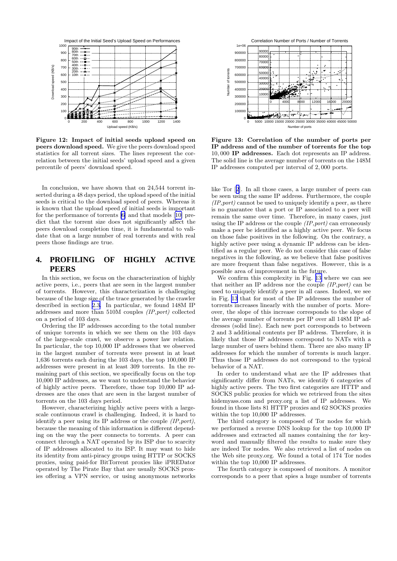<span id="page-10-0"></span>

Figure 12: Impact of initial seeds upload speed on peers download speed. We give the peers download speed statistics for all torrent sizes. The lines represent the correlation between the initial seeds' upload speed and a given percentile of peers' download speed.

In conclusion, we have shown that on 24,544 torrent inserted during a 48 days period, the upload speed of the initial seeds is critical to the download speed of peers. Whereas it is known that the upload speed of initial seeds is important for the performance of torrents [\[6\]](#page-12-0) and that models[[10\]](#page-12-0) predict that the torrent size does not significantly affect the peers download completion time, it is fundamental to validate that on a large number of real torrents and with real peers those findings are true.

### **4. PROFILING OF HIGHLY ACTIVE PEERS**

In this section, we focus on the characterization of highly active peers, i.e., peers that are seen in the largest number of torrents. However, this characterization is challenging because of the huge size of the trace generated by the crawler described in section [2.3.](#page-2-0) In particular, we found 148M IP addresses and more than 510M couples (IP,port) collected on a period of 103 days.

Ordering the IP addresses according to the total number of unique torrents in which we see them on the 103 days of the large-scale crawl, we observe a power law relation. In particular, the top 10,000 IP addresses that we observed in the largest number of torrents were present in at least 1,636 torrents each during the 103 days, the top 100,000 IP addresses were present in at least 309 torrents. In the remaining part of this section, we specifically focus on the top 10,000 IP addresses, as we want to understand the behavior of highly active peers. Therefore, those top 10,000 IP addresses are the ones that are seen in the largest number of torrents on the 103 days period.

However, characterizing highly active peers with a largescale continuous crawl is challenging. Indeed, it is hard to identify a peer using its IP address or the couple  $(IP, port)$ , because the meaning of this information is different depending on the way the peer connects to torrents. A peer can connect through a NAT operated by its ISP due to scarcity of IP addresses allocated to its ISP. It may want to hide its identity from anti-piracy groups using HTTP or SOCKS proxies, using paid-for BitTorrent proxies like iPREDator operated by The Pirate Bay that are usually SOCKS proxies offering a VPN service, or using anonymous networks



Figure 13: Correlation of the number of ports per IP address and of the number of torrents for the top 10, 000 IP addresses. Each dot represents an IP address. The solid line is the average number of torrents on the 148M IP addresses computed per interval of 2, 000 ports.

like Tor[[2](#page-12-0)]. In all those cases, a large number of peers can be seen using the same IP address. Furthermore, the couple  $(IP, port)$  cannot be used to uniquely identify a peer, as there is no guarantee that a port or IP associated to a peer will remain the same over time. Therefore, in many cases, just using the IP address or the couple  $(IP, port)$  can erroneously make a peer be identified as a highly active peer. We focus on those false positives in the following. On the contrary, a highly active peer using a dynamic IP address can be identified as a regular peer. We do not consider this case of false negatives in the following, as we believe that false positives are more frequent than false negatives. However, this is a possible area of improvement in the future.

We confirm this complexity in Fig. 13 where we can see that neither an IP address nor the couple  $(IP, port)$  can be used to uniquely identify a peer in all cases. Indeed, we see in Fig. 13 that for most of the IP addresses the number of torrents increases linearly with the number of ports. Moreover, the slope of this increase corresponds to the slope of the average number of torrents per IP over all 148M IP addresses (solid line). Each new port corresponds to between 2 and 3 additional contents per IP address. Therefore, it is likely that those IP addresses correspond to NATs with a large number of users behind them. There are also many IP addresses for which the number of torrents is much larger. Thus those IP addresses do not correspond to the typical behavior of a NAT.

In order to understand what are the IP addresses that significantly differ from NATs, we identify 6 categories of highly active peers. The two first categories are HTTP and SOCKS public proxies for which we retrieved from the sites hidemyass.com and proxy.org a list of IP addresses. We found in those lists 81 HTTP proxies and 62 SOCKS proxies within the top 10,000 IP addresses.

The third category is composed of Tor nodes for which we performed a reverse DNS lookup for the top 10,000 IP addresses and extracted all names containing the tor keyword and manually filtered the results to make sure they are indeed Tor nodes. We also retrieved a list of nodes on the Web site proxy.org. We found a total of 174 Tor nodes within the top 10,000 IP addresses.

The fourth category is composed of monitors. A monitor corresponds to a peer that spies a huge number of torrents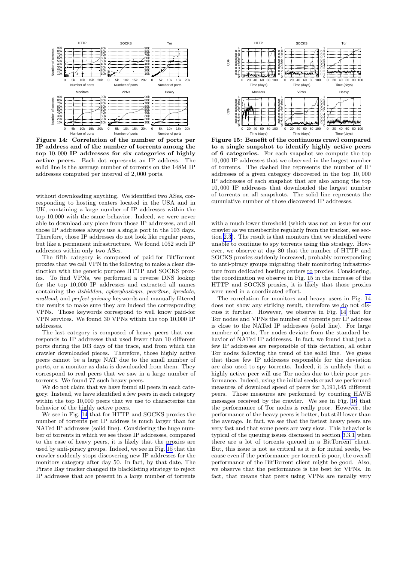<span id="page-11-0"></span>

Figure 14: Correlation of the number of ports per IP address and of the number of torrents among the top 10, 000 IP addresses for six categories of highly active peers. Each dot represents an IP address. The solid line is the average number of torrents on the 148M IP addresses computed per interval of 2, 000 ports.

without downloading anything. We identified two ASes, corresponding to hosting centers located in the USA and in UK, containing a large number of IP addresses within the top 10,000 with the same behavior. Indeed, we were never able to download any piece from those IP addresses, and all those IP addresses always use a single port in the 103 days. Therefore, those IP addresses do not look like regular peers, but like a permanent infrastructure. We found 1052 such IP addresses within only two ASes.

The fifth category is composed of paid-for BitTorrent proxies that we call VPN in the following to make a clear distinction with the generic purpose HTTP and SOCKS proxies. To find VPNs, we performed a reverse DNS lookup for the top 10,000 IP addresses and extracted all names containing the itshidden, cyberghostvpn, peer2me, ipredate, mullvad, and perfect-privacy keywords and manually filtered the results to make sure they are indeed the corresponding VPNs. Those keywords correspond to well know paid-for VPN services. We found 30 VPNs within the top 10,000 IP addresses.

The last category is composed of heavy peers that corresponds to IP addresses that used fewer than 10 different ports during the 103 days of the trace, and from which the crawler downloaded pieces. Therefore, those highly active peers cannot be a large NAT due to the small number of ports, or a monitor as data is downloaded from them. They correspond to real peers that we saw in a large number of torrents. We found 77 such heavy peers.

We do not claim that we have found all peers in each category. Instead, we have identified a few peers in each category within the top 10,000 peers that we use to characterize the behavior of the highly active peers.

We see in Fig. 14 that for HTTP and SOCKS proxies the number of torrents per IP address is much larger than for NATed IP addresses (solid line). Considering the huge number of torrents in which we see those IP addresses, compared to the case of heavy peers, it is likely that the proxies are used by anti-piracy groups. Indeed, we see in Fig. 15 that the crawler suddenly stops discovering new IP addresses for the monitors category after day 50. In fact, by that date, The Pirate Bay tracker changed its blacklisting strategy to reject IP addresses that are present in a large number of torrents



Figure 15: Benefit of the continuous crawl compared to a single snapshot to identify highly active peers of 6 categories. For each snapshot we compute the top 10, 000 IP addresses that we observed in the largest number of torrents. The dashed line represents the number of IP addresses of a given category discovered in the top 10, 000 IP addresses of each snapshot that are also among the top 10, 000 IP addresses that downloaded the largest number of torrents on all snapshots. The solid line represents the cumulative number of those discovered IP addresses.

with a much lower threshold (which was not an issue for our crawler as we unsubscribe regularly from the tracker, see section [2.3\)](#page-2-0). The result is that monitors that we identified were unable to continue to spy torrents using this strategy. However, we observe at day 80 that the number of HTTP and SOCKS proxies suddenly increased, probably corresponding to anti-piracy groups migrating their monitoring infrastructure from dedicated hosting centers to proxies. Considering, the coordination we observe in Fig. 15 in the increase of the HTTP and SOCKS proxies, it is likely that those proxies were used in a coordinated effort.

The correlation for monitors and heavy users in Fig. 14 does not show any striking result, therefore we do not discuss it further. However, we observe in Fig. 14 that for Tor nodes and VPNs the number of torrents per IP address is close to the NATed IP addresses (solid line). For large number of ports, Tor nodes deviate from the standard behavior of NATed IP addresses. In fact, we found that just a few IP addresses are responsible of this deviation, all other Tor nodes following the trend of the solid line. We guess that those few IP addresses responsible for the deviation are also used to spy torrents. Indeed, it is unlikely that a highly active peer will use Tor nodes due to their poor performance. Indeed, using the initial seeds crawl we performed measures of download speed of peers for 3,191,145 different peers. Those measures are performed by counting HAVE messages received by the crawler. We see in Fig. [16](#page-12-0) that the performance of Tor nodes is really poor. However, the performance of the heavy peers is better, but still lower than the average. In fact, we see that the fastest heavy peers are very fast and that some peers are very slow. This behavior is typical of the queuing issues discussed in section [3.3.1](#page-8-0) when there are a lot of torrents queued in a BitTorrent client. But, this issue is not as critical as it is for initial seeds, because even if the performance per torrent is poor, the overall performance of the BitTorrent client might be good. Also, we observe that the performance is the best for VPNs. In fact, that means that peers using VPNs are usually very